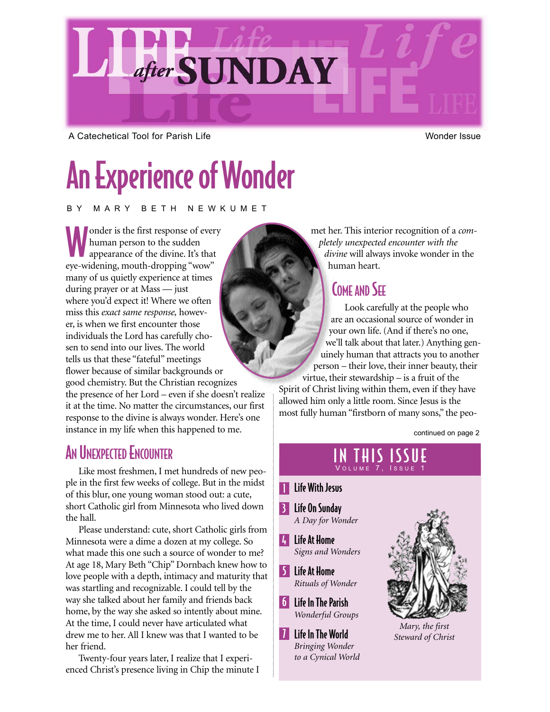

A Catechetical Tool for Parish Life Wonder Issue Wonder Issue

# An Experience of Wonder

BY MARY BETH NEWKUMET

onder is the first response of every human person to the sudden appearance of the divine. It's that eye-widening, mouth-dropping "wow" many of us quietly experience at times during prayer or at Mass — just where you'd expect it! Where we often miss this *exact same response,* however, is when we first encounter those individuals the Lord has carefully chosen to send into our lives. The world tells us that these "fateful" meetings flower because of similar backgrounds or good chemistry. But the Christian recognizes the presence of her Lord – even if she doesn't realize it at the time. No matter the circumstances, our first response to the divine is always wonder. Here's one instance in my life when this happened to me.

## **AN UNEXPECTED ENCOUNTER**

Like most freshmen, I met hundreds of new people in the first few weeks of college. But in the midst of this blur, one young woman stood out: a cute, short Catholic girl from Minnesota who lived down the hall.

Please understand: cute, short Catholic girls from Minnesota were a dime a dozen at my college. So what made this one such a source of wonder to me? At age 18, Mary Beth "Chip" Dornbach knew how to love people with a depth, intimacy and maturity that was startling and recognizable. I could tell by the way she talked about her family and friends back home, by the way she asked so intently about mine. At the time, I could never have articulated what drew me to her. All I knew was that I wanted to be her friend.

Twenty-four years later, I realize that I experienced Christ's presence living in Chip the minute I met her. This interior recognition of a *completely unexpected encounter with the divine* will always invoke wonder in the human heart.

#### **COME AND SEE**

Look carefully at the people who are an occasional source of wonder in your own life. (And if there's no one, we'll talk about that later.) Anything genuinely human that attracts you to another person – their love, their inner beauty, their virtue, their stewardship – is a fruit of the Spirit of Christ living within them, even if they have

allowed him only a little room. Since Jesus is the most fully human "firstborn of many sons," the peo-

continued on page 2

# IN THIS ISSUE

#### **T** Life With Jesus

- 3 Life On Sunday *A Day for Wonder*
- 4 Life At Home *Signs and Wonders*
- 5 Life At Home *Rituals of Wonder*
- 6 Life In The Parish *Wonderful Groups*
- **7** Life In The World *Bringing Wonder to a Cynical World*



*Mary, the first Steward of Christ*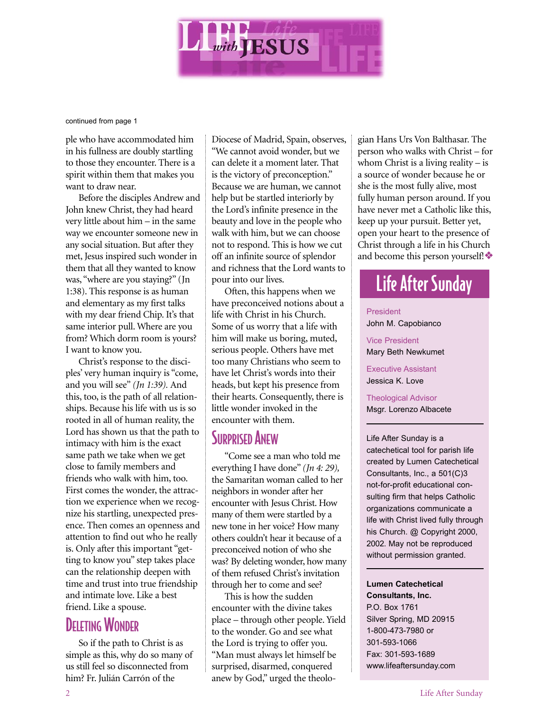

continued from page 1

ple who have accommodated him in his fullness are doubly startling to those they encounter. There is a spirit within them that makes you want to draw near.

Before the disciples Andrew and John knew Christ, they had heard very little about him – in the same way we encounter someone new in any social situation. But after they met, Jesus inspired such wonder in them that all they wanted to know was, "where are you staying?" (Jn 1:38). This response is as human and elementary as my first talks with my dear friend Chip. It's that same interior pull. Where are you from? Which dorm room is yours? I want to know you.

Christ's response to the disciples' very human inquiry is "come, and you will see" *(Jn 1:39).* And this, too, is the path of all relationships. Because his life with us is so rooted in all of human reality, the Lord has shown us that the path to intimacy with him is the exact same path we take when we get close to family members and friends who walk with him, too. First comes the wonder, the attraction we experience when we recognize his startling, unexpected presence. Then comes an openness and attention to find out who he really is. Only after this important "getting to know you" step takes place can the relationship deepen with time and trust into true friendship and intimate love. Like a best friend. Like a spouse.

#### DELETING WONDER

So if the path to Christ is as simple as this, why do so many of us still feel so disconnected from him? Fr. Julián Carrón of the

Diocese of Madrid, Spain, observes, "We cannot avoid wonder, but we can delete it a moment later. That is the victory of preconception." Because we are human, we cannot help but be startled interiorly by the Lord's infinite presence in the beauty and love in the people who walk with him, but we can choose not to respond. This is how we cut off an infinite source of splendor and richness that the Lord wants to pour into our lives.

Often, this happens when we have preconceived notions about a life with Christ in his Church. Some of us worry that a life with him will make us boring, muted, serious people. Others have met too many Christians who seem to have let Christ's words into their heads, but kept his presence from their hearts. Consequently, there is little wonder invoked in the encounter with them.

#### **SURPRISED ANEW**

"Come see a man who told me everything I have done" *(Jn 4: 29),* the Samaritan woman called to her neighbors in wonder after her encounter with Jesus Christ. How many of them were startled by a new tone in her voice? How many others couldn't hear it because of a preconceived notion of who she was? By deleting wonder, how many of them refused Christ's invitation through her to come and see?

This is how the sudden encounter with the divine takes place – through other people. Yield to the wonder. Go and see what the Lord is trying to offer you. "Man must always let himself be surprised, disarmed, conquered anew by God," urged the theologian Hans Urs Von Balthasar. The person who walks with Christ – for whom Christ is a living reality  $-$  is a source of wonder because he or she is the most fully alive, most fully human person around. If you have never met a Catholic like this, keep up your pursuit. Better yet, open your heart to the presence of Christ through a life in his Church and become this person yourself!❖

# Life After Sunday

#### President

John M. Capobianco

Vice President

Mary Beth Newkumet

Executive Assistant Jessica K. Love

Theological Advisor Msgr. Lorenzo Albacete

Life After Sunday is a catechetical tool for parish life created by Lumen Catechetical Consultants, Inc., a 501(C)3 not-for-profit educational consulting firm that helps Catholic organizations communicate a life with Christ lived fully through his Church. @ Copyright 2000, 2002. May not be reproduced without permission granted.

#### **Lumen Catechetical**

**Consultants, Inc.** P.O. Box 1761 Silver Spring, MD 20915 1-800-473-7980 or 301-593-1066 Fax: 301-593-1689 www.lifeaftersunday.com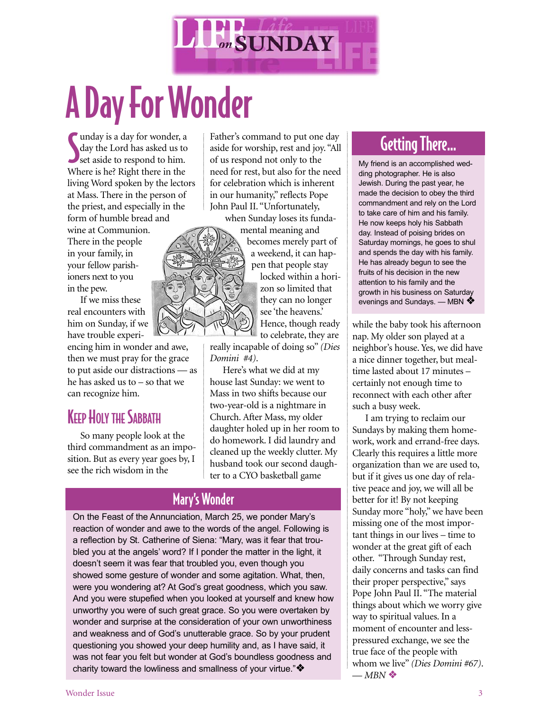

# A Day For Wonder

Imay is a day for wonder, a<br>day the Lord has asked us to<br>set aside to respond to him. unday is a day for wonder, a day the Lord has asked us to Where is he? Right there in the living Word spoken by the lectors at Mass. There in the person of the priest, and especially in the form of humble bread and

wine at Communion. There in the people in your family, in your fellow parishioners next to you in the pew.

If we miss these real encounters with him on Sunday, if we have trouble experi-

encing him in wonder and awe, then we must pray for the grace to put aside our distractions — as he has asked us to – so that we can recognize him.

#### **KEEP HOLY THE SABBATH**

So many people look at the third commandment as an imposition. But as every year goes by, I see the rich wisdom in the

Father's command to put one day aside for worship, rest and joy. "All of us respond not only to the need for rest, but also for the need for celebration which is inherent in our humanity," reflects Pope John Paul II. "Unfortunately,

when Sunday loses its funda-



mental meaning and becomes merely part of a weekend, it can happen that people stay locked within a horizon so limited that they can no longer see 'the heavens.' Hence, though ready to celebrate, they are

really incapable of doing so" *(Dies Domini #4)*.

Here's what we did at my house last Sunday: we went to Mass in two shifts because our two-year-old is a nightmare in Church. After Mass, my older daughter holed up in her room to do homework. I did laundry and cleaned up the weekly clutter. My husband took our second daughter to a CYO basketball game

#### Mary's Wonder

On the Feast of the Annunciation, March 25, we ponder Mary's reaction of wonder and awe to the words of the angel. Following is a reflection by St. Catherine of Siena: "Mary, was it fear that troubled you at the angels' word? If I ponder the matter in the light, it doesn't seem it was fear that troubled you, even though you showed some gesture of wonder and some agitation. What, then, were you wondering at? At God's great goodness, which you saw. And you were stupefied when you looked at yourself and knew how unworthy you were of such great grace. So you were overtaken by wonder and surprise at the consideration of your own unworthiness and weakness and of God's unutterable grace. So by your prudent questioning you showed your deep humility and, as I have said, it was not fear you felt but wonder at God's boundless goodness and charity toward the lowliness and smallness of your virtue."❖

## Getting There…

My friend is an accomplished wedding photographer. He is also Jewish. During the past year, he made the decision to obey the third commandment and rely on the Lord to take care of him and his family. He now keeps holy his Sabbath day. Instead of poising brides on Saturday mornings, he goes to shul and spends the day with his family. He has already begun to see the fruits of his decision in the new attention to his family and the growth in his business on Saturday evenings and Sundays. — MBN \*

while the baby took his afternoon nap. My older son played at a neighbor's house. Yes, we did have a nice dinner together, but mealtime lasted about 17 minutes – certainly not enough time to reconnect with each other after such a busy week.

I am trying to reclaim our Sundays by making them homework, work and errand-free days. Clearly this requires a little more organization than we are used to, but if it gives us one day of relative peace and joy, we will all be better for it! By not keeping Sunday more "holy," we have been missing one of the most important things in our lives – time to wonder at the great gift of each other. "Through Sunday rest, daily concerns and tasks can find their proper perspective," says Pope John Paul II. "The material things about which we worry give way to spiritual values. In a moment of encounter and lesspressured exchange, we see the true face of the people with whom we live" *(Dies Domini #67)*.  $-MBN$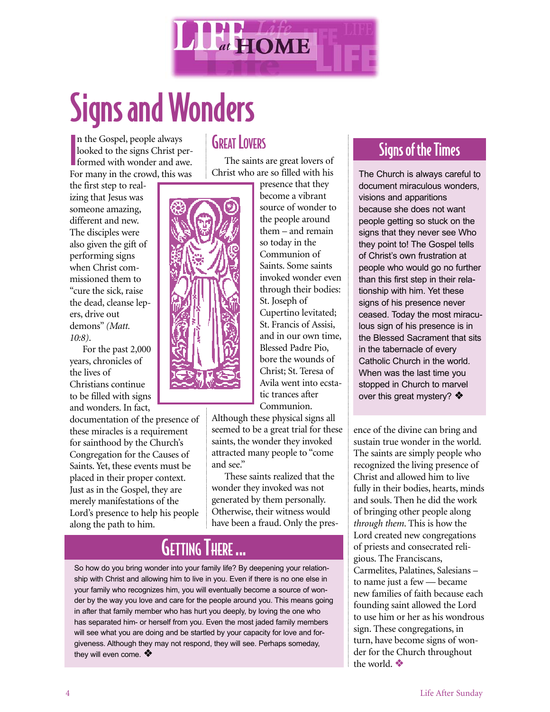

# Signs and Wonders

**I** n the Gospel, people always looked to the signs Christ performed with wonder and awe. For many in the crowd, this was

the first step to realizing that Jesus was someone amazing, different and new. The disciples were also given the gift of performing signs when Christ commissioned them to "cure the sick, raise the dead, cleanse lepers, drive out demons" *(Matt. 10:8)*.

For the past 2,000 years, chronicles of the lives of Christians continue to be filled with signs and wonders. In fact,

documentation of the presence of these miracles is a requirement for sainthood by the Church's Congregation for the Causes of Saints. Yet, these events must be placed in their proper context. Just as in the Gospel, they are merely manifestations of the Lord's presence to help his people along the path to him.

#### **GREAT LOVERS**

The saints are great lovers of Christ who are so filled with his



presence that they become a vibrant source of wonder to the people around them – and remain so today in the Communion of Saints. Some saints invoked wonder even through their bodies: St. Joseph of Cupertino levitated; St. Francis of Assisi, and in our own time, Blessed Padre Pio, bore the wounds of Christ; St. Teresa of Avila went into ecstatic trances after Communion.

Although these physical signs all seemed to be a great trial for these saints, the wonder they invoked attracted many people to "come and see."

These saints realized that the wonder they invoked was not generated by them personally. Otherwise, their witness would have been a fraud. Only the pres-

## **GETTING THERE ...**

So how do you bring wonder into your family life? By deepening your relationship with Christ and allowing him to live in you. Even if there is no one else in your family who recognizes him, you will eventually become a source of wonder by the way you love and care for the people around you. This means going in after that family member who has hurt you deeply, by loving the one who has separated him- or herself from you. Even the most jaded family members will see what you are doing and be startled by your capacity for love and forgiveness. Although they may not respond, they will see. Perhaps someday, they will even come.  $\clubsuit$ 

## Signs of the Times

The Church is always careful to document miraculous wonders. visions and apparitions because she does not want people getting so stuck on the signs that they never see Who they point to! The Gospel tells of Christ's own frustration at people who would go no further than this first step in their relationship with him. Yet these signs of his presence never ceased. Today the most miraculous sign of his presence is in the Blessed Sacrament that sits in the tabernacle of every Catholic Church in the world. When was the last time you stopped in Church to marvel over this great mystery? ❖

ence of the divine can bring and sustain true wonder in the world. The saints are simply people who recognized the living presence of Christ and allowed him to live fully in their bodies, hearts, minds and souls. Then he did the work of bringing other people along *through them*. This is how the Lord created new congregations of priests and consecrated religious. The Franciscans, Carmelites, Palatines, Salesians – to name just a few — became new families of faith because each founding saint allowed the Lord to use him or her as his wondrous sign. These congregations, in turn, have become signs of wonder for the Church throughout the world. ❖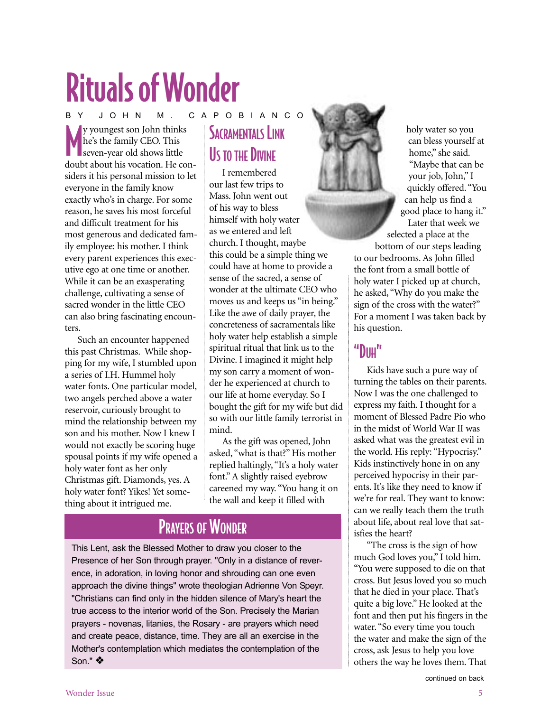# Rituals of Wonder

W youngest son John thinks<br>
he's the family CEO. This<br>
seven-year old shows little<br>
doubt about his vocation. He cony youngest son John thinks he's the family CEO. This seven-year old shows little siders it his personal mission to let everyone in the family know exactly who's in charge. For some reason, he saves his most forceful and difficult treatment for his most generous and dedicated family employee: his mother. I think every parent experiences this executive ego at one time or another. While it can be an exasperating challenge, cultivating a sense of sacred wonder in the little CEO can also bring fascinating encounters. BY JOHN M. CAPOBIANCO

Such an encounter happened this past Christmas. While shopping for my wife, I stumbled upon a series of I.H. Hummel holy water fonts. One particular model, two angels perched above a water reservoir, curiously brought to mind the relationship between my son and his mother. Now I knew I would not exactly be scoring huge spousal points if my wife opened a holy water font as her only Christmas gift. Diamonds, yes. A holy water font? Yikes! Yet something about it intrigued me.

# SACRAMENTALS LINK US TO THE DIVINE

I remembered our last few trips to Mass. John went out of his way to bless himself with holy water as we entered and left church. I thought, maybe this could be a simple thing we could have at home to provide a sense of the sacred, a sense of wonder at the ultimate CEO who moves us and keeps us "in being." Like the awe of daily prayer, the concreteness of sacramentals like holy water help establish a simple spiritual ritual that link us to the Divine. I imagined it might help my son carry a moment of wonder he experienced at church to our life at home everyday. So I bought the gift for my wife but did so with our little family terrorist in mind.

As the gift was opened, John asked, "what is that?" His mother replied haltingly, "It's a holy water font." A slightly raised eyebrow careened my way. "You hang it on the wall and keep it filled with

## PRAYERS OF WONDER

This Lent, ask the Blessed Mother to draw you closer to the Presence of her Son through prayer. "Only in a distance of reverence, in adoration, in loving honor and shrouding can one even approach the divine things" wrote theologian Adrienne Von Speyr. "Christians can find only in the hidden silence of Mary's heart the true access to the interior world of the Son. Precisely the Marian prayers - novenas, litanies, the Rosary - are prayers which need and create peace, distance, time. They are all an exercise in the Mother's contemplation which mediates the contemplation of the Son." ❖



holy water so you can bless yourself at home," she said. "Maybe that can be your job, John," I quickly offered. "You can help us find a good place to hang it." Later that week we

selected a place at the bottom of our steps leading to our bedrooms. As John filled the font from a small bottle of holy water I picked up at church, he asked, "Why do you make the sign of the cross with the water?" For a moment I was taken back by his question.

#### "DIIH"

Kids have such a pure way of turning the tables on their parents. Now I was the one challenged to express my faith. I thought for a moment of Blessed Padre Pio who in the midst of World War II was asked what was the greatest evil in the world. His reply: "Hypocrisy." Kids instinctively hone in on any perceived hypocrisy in their parents. It's like they need to know if we're for real. They want to know: can we really teach them the truth about life, about real love that satisfies the heart?

"The cross is the sign of how much God loves you," I told him. "You were supposed to die on that cross. But Jesus loved you so much that he died in your place. That's quite a big love." He looked at the font and then put his fingers in the water. "So every time you touch the water and make the sign of the cross, ask Jesus to help you love others the way he loves them. That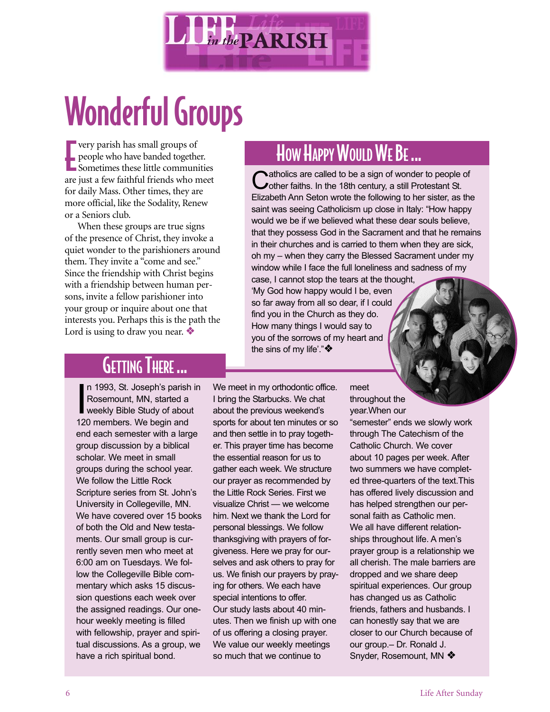

# Wonderful Groups

**Example 18 September 18 September 18 Sometimes these little communities**<br> **Example 18 September 18 September 18 September 18 September 18 September 18 September 18 September 18 September 18 September 18 September 19 Septe** very parish has small groups of people who have banded together. are just a few faithful friends who meet for daily Mass. Other times, they are more official, like the Sodality, Renew or a Seniors club.

When these groups are true signs of the presence of Christ, they invoke a quiet wonder to the parishioners around them. They invite a "come and see." Since the friendship with Christ begins with a friendship between human persons, invite a fellow parishioner into your group or inquire about one that interests you. Perhaps this is the path the Lord is using to draw you near. ❖

# HOW HAPPY WOULD WE BE ...

Catholics are called to be a sign of wonder to people of cother faiths. In the 18th century, a still Protestant St. Elizabeth Ann Seton wrote the following to her sister, as the saint was seeing Catholicism up close in Italy: "How happy would we be if we believed what these dear souls believe, that they possess God in the Sacrament and that he remains in their churches and is carried to them when they are sick, oh my – when they carry the Blessed Sacrament under my window while I face the full loneliness and sadness of my

case, I cannot stop the tears at the thought, 'My God how happy would I be, even so far away from all so dear, if I could find you in the Church as they do. How many things I would say to you of the sorrows of my heart and the sins of my life'."❖

# GETTING THERE ...

n 1993, St. Joseph's parist<br>Rosemount, MN, started a<br>weekly Bible Study of abou<br>120 members. We begin and n 1993, St. Joseph's parish in Rosemount, MN, started a weekly Bible Study of about end each semester with a large group discussion by a biblical scholar. We meet in small groups during the school year. We follow the Little Rock Scripture series from St. John's University in Collegeville, MN. We have covered over 15 books of both the Old and New testaments. Our small group is currently seven men who meet at 6:00 am on Tuesdays. We follow the Collegeville Bible commentary which asks 15 discussion questions each week over the assigned readings. Our onehour weekly meeting is filled with fellowship, prayer and spiritual discussions. As a group, we have a rich spiritual bond.

We meet in my orthodontic office. I bring the Starbucks. We chat about the previous weekend's sports for about ten minutes or so and then settle in to pray together. This prayer time has become the essential reason for us to gather each week. We structure our prayer as recommended by the Little Rock Series. First we visualize Christ — we welcome him. Next we thank the Lord for personal blessings. We follow thanksgiving with prayers of forgiveness. Here we pray for ourselves and ask others to pray for us. We finish our prayers by praying for others. We each have special intentions to offer. Our study lasts about 40 minutes. Then we finish up with one of us offering a closing prayer. We value our weekly meetings so much that we continue to

meet throughout the

year.When our "semester" ends we slowly work through The Catechism of the Catholic Church. We cover about 10 pages per week. After two summers we have completed three-quarters of the text.This has offered lively discussion and has helped strengthen our personal faith as Catholic men. We all have different relationships throughout life. A men's prayer group is a relationship we all cherish. The male barriers are dropped and we share deep spiritual experiences. Our group has changed us as Catholic friends, fathers and husbands. I can honestly say that we are closer to our Church because of our group.– Dr. Ronald J. Snyder, Rosemount, MN ❖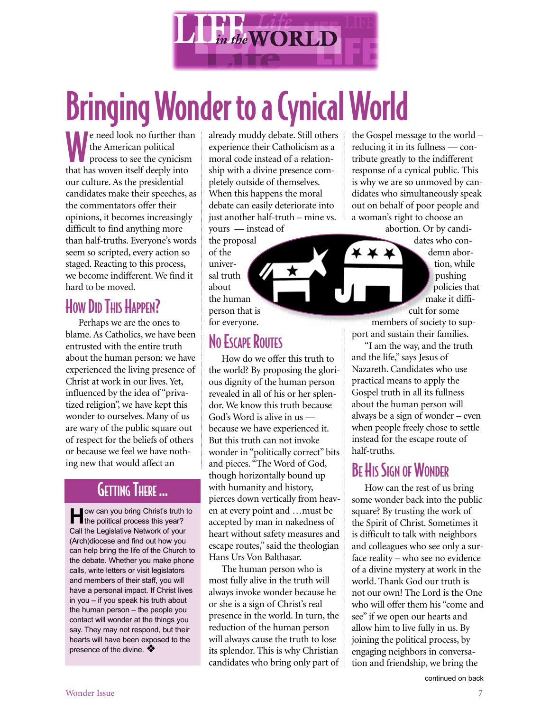

# Bringing Wonder to a Cynical World

e need look no further than the American political process to see the cynicism that has woven itself deeply into our culture. As the presidential candidates make their speeches, as the commentators offer their opinions, it becomes increasingly difficult to find anything more than half-truths. Everyone's words seem so scripted, every action so staged. Reacting to this process, we become indifferent. We find it hard to be moved.

## How DID THIS HAPPEN?

Perhaps we are the ones to blame. As Catholics, we have been entrusted with the entire truth about the human person: we have experienced the living presence of Christ at work in our lives. Yet, influenced by the idea of "privatized religion", we have kept this wonder to ourselves. Many of us are wary of the public square out of respect for the beliefs of others or because we feel we have nothing new that would affect an

#### GETTING THERE ...

**H**ow can you bring Christ's truth to the political process this year? Call the Legislative Network of your (Arch)diocese and find out how you can help bring the life of the Church to the debate. Whether you make phone calls, write letters or visit legislators and members of their staff, you will have a personal impact. If Christ lives in you – if you speak his truth about the human person – the people you contact will wonder at the things you say. They may not respond, but their hearts will have been exposed to the presence of the divine.  $\diamondsuit$ 

already muddy debate. Still others experience their Catholicism as a moral code instead of a relationship with a divine presence completely outside of themselves. When this happens the moral debate can easily deteriorate into just another half-truth – mine vs. yours — instead of

the proposal of the universal truth about the human person that is for everyone.

## NO ESCAPE ROUTES

How do we offer this truth to the world? By proposing the glorious dignity of the human person revealed in all of his or her splendor. We know this truth because God's Word is alive in us because we have experienced it. But this truth can not invoke wonder in "politically correct" bits and pieces. "The Word of God, though horizontally bound up with humanity and history, pierces down vertically from heaven at every point and …must be accepted by man in nakedness of heart without safety measures and escape routes," said the theologian Hans Urs Von Balthasar.

The human person who is most fully alive in the truth will always invoke wonder because he or she is a sign of Christ's real presence in the world. In turn, the reduction of the human person will always cause the truth to lose its splendor. This is why Christian candidates who bring only part of

the Gospel message to the world – reducing it in its fullness — contribute greatly to the indifferent response of a cynical public. This is why we are so unmoved by candidates who simultaneously speak out on behalf of poor people and a woman's right to choose an

abortion. Or by candidates who con-

demn abortion, while pushing policies that make it difficult for some

members of society to support and sustain their families.

"I am the way, and the truth and the life," says Jesus of Nazareth. Candidates who use practical means to apply the Gospel truth in all its fullness about the human person will always be a sign of wonder – even when people freely chose to settle instead for the escape route of half-truths.

## **BE HIS SIGN OF WONDER**

How can the rest of us bring some wonder back into the public square? By trusting the work of the Spirit of Christ. Sometimes it is difficult to talk with neighbors and colleagues who see only a surface reality – who see no evidence of a divine mystery at work in the world. Thank God our truth is not our own! The Lord is the One who will offer them his "come and see" if we open our hearts and allow him to live fully in us. By joining the political process, by engaging neighbors in conversation and friendship, we bring the

continued on back